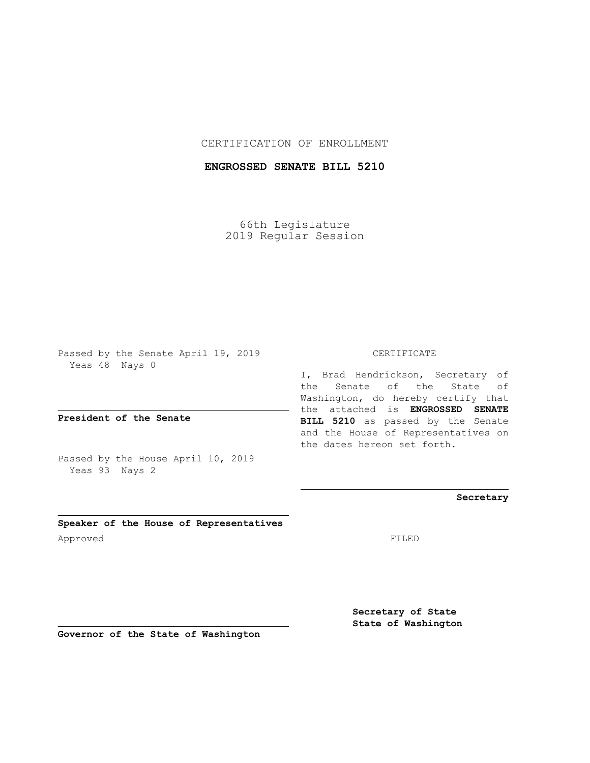## CERTIFICATION OF ENROLLMENT

## **ENGROSSED SENATE BILL 5210**

66th Legislature 2019 Regular Session

Passed by the Senate April 19, 2019 Yeas 48 Nays 0

**President of the Senate**

Passed by the House April 10, 2019 Yeas 93 Nays 2

**Speaker of the House of Representatives** Approved FILED

CERTIFICATE

I, Brad Hendrickson, Secretary of the Senate of the State of Washington, do hereby certify that the attached is **ENGROSSED SENATE BILL 5210** as passed by the Senate and the House of Representatives on the dates hereon set forth.

**Secretary**

**Secretary of State State of Washington**

**Governor of the State of Washington**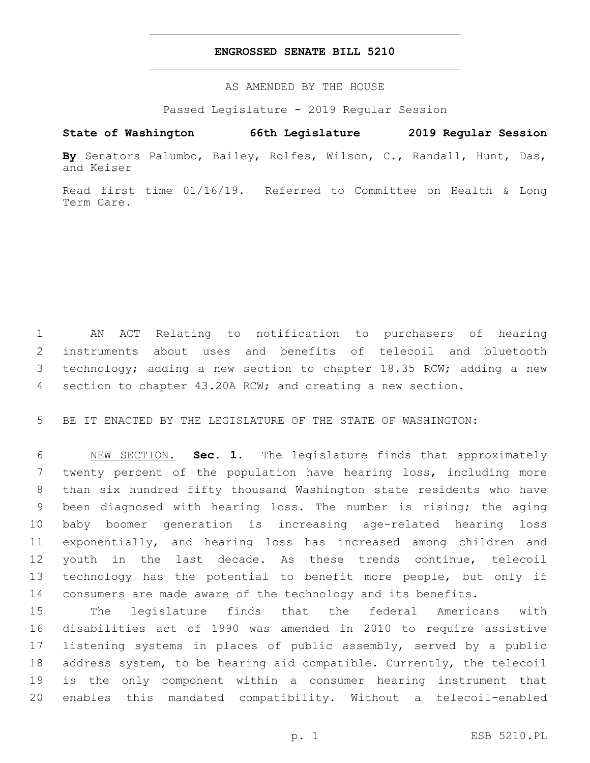## **ENGROSSED SENATE BILL 5210**

AS AMENDED BY THE HOUSE

Passed Legislature - 2019 Regular Session

## **State of Washington 66th Legislature 2019 Regular Session**

**By** Senators Palumbo, Bailey, Rolfes, Wilson, C., Randall, Hunt, Das, and Keiser

Read first time 01/16/19. Referred to Committee on Health & Long Term Care.

 AN ACT Relating to notification to purchasers of hearing instruments about uses and benefits of telecoil and bluetooth technology; adding a new section to chapter 18.35 RCW; adding a new section to chapter 43.20A RCW; and creating a new section.

BE IT ENACTED BY THE LEGISLATURE OF THE STATE OF WASHINGTON:

 NEW SECTION. **Sec. 1.** The legislature finds that approximately twenty percent of the population have hearing loss, including more than six hundred fifty thousand Washington state residents who have been diagnosed with hearing loss. The number is rising; the aging baby boomer generation is increasing age-related hearing loss exponentially, and hearing loss has increased among children and youth in the last decade. As these trends continue, telecoil technology has the potential to benefit more people, but only if consumers are made aware of the technology and its benefits.

 The legislature finds that the federal Americans with disabilities act of 1990 was amended in 2010 to require assistive listening systems in places of public assembly, served by a public address system, to be hearing aid compatible. Currently, the telecoil is the only component within a consumer hearing instrument that enables this mandated compatibility. Without a telecoil-enabled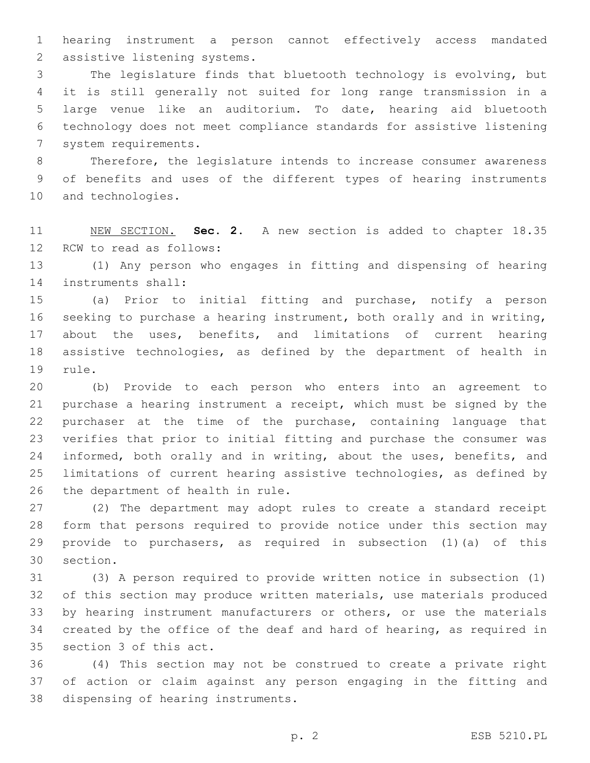hearing instrument a person cannot effectively access mandated 2 assistive listening systems.

 The legislature finds that bluetooth technology is evolving, but it is still generally not suited for long range transmission in a large venue like an auditorium. To date, hearing aid bluetooth technology does not meet compliance standards for assistive listening 7 system requirements.

 Therefore, the legislature intends to increase consumer awareness of benefits and uses of the different types of hearing instruments 10 and technologies.

 NEW SECTION. **Sec. 2.** A new section is added to chapter 18.35 12 RCW to read as follows:

 (1) Any person who engages in fitting and dispensing of hearing 14 instruments shall:

 (a) Prior to initial fitting and purchase, notify a person seeking to purchase a hearing instrument, both orally and in writing, about the uses, benefits, and limitations of current hearing assistive technologies, as defined by the department of health in 19 rule.

 (b) Provide to each person who enters into an agreement to purchase a hearing instrument a receipt, which must be signed by the purchaser at the time of the purchase, containing language that verifies that prior to initial fitting and purchase the consumer was 24 informed, both orally and in writing, about the uses, benefits, and limitations of current hearing assistive technologies, as defined by 26 the department of health in rule.

 (2) The department may adopt rules to create a standard receipt form that persons required to provide notice under this section may provide to purchasers, as required in subsection (1)(a) of this 30 section.

 (3) A person required to provide written notice in subsection (1) of this section may produce written materials, use materials produced by hearing instrument manufacturers or others, or use the materials created by the office of the deaf and hard of hearing, as required in 35 section 3 of this act.

 (4) This section may not be construed to create a private right of action or claim against any person engaging in the fitting and 38 dispensing of hearing instruments.